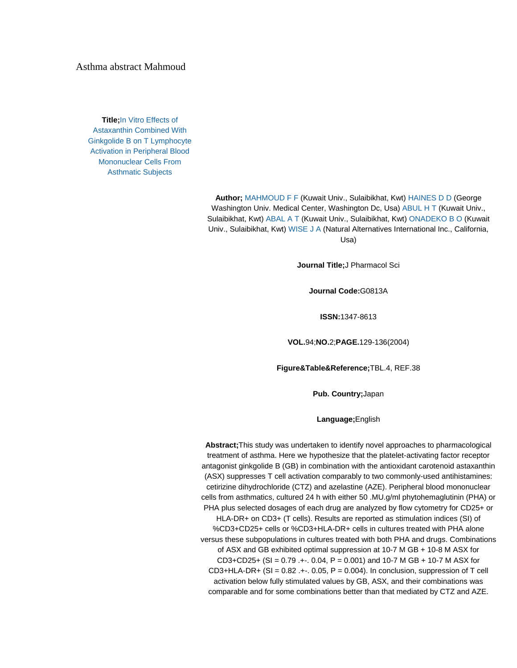## Asthma abstract Mahmoud

**Title;**[In Vitro Effects of](http://sciencelinks.jp/j-east/display.php?id=000020040704A0177548)  [Astaxanthin Combined With](http://sciencelinks.jp/j-east/display.php?id=000020040704A0177548)  [Ginkgolide B on T Lymphocyte](http://sciencelinks.jp/j-east/display.php?id=000020040704A0177548)  [Activation in Peripheral Blood](http://sciencelinks.jp/j-east/display.php?id=000020040704A0177548)  [Mononuclear Cells From](http://sciencelinks.jp/j-east/display.php?id=000020040704A0177548)  [Asthmatic Subjects](http://sciencelinks.jp/j-east/display.php?id=000020040704A0177548)

> **Author;** [MAHMOUD F F](http://sciencelinks.jp/j-east/result.php?field1=author&keyword1=MAHMOUD%20F%20F&combine=phrase&search=SEARCH) (Kuwait Univ., Sulaibikhat, Kwt) [HAINES D D](http://sciencelinks.jp/j-east/result.php?field1=author&keyword1=HAINES%20D%20D&combine=phrase&search=SEARCH) (George Washington Univ. Medical Center, Washington Dc, Usa[\) ABUL H T](http://sciencelinks.jp/j-east/result.php?field1=author&keyword1=ABUL%20H%20T&combine=phrase&search=SEARCH) (Kuwait Univ., Sulaibikhat, Kwt) [ABAL A T](http://sciencelinks.jp/j-east/result.php?field1=author&keyword1=ABAL%20A%20T&combine=phrase&search=SEARCH) (Kuwait Univ., Sulaibikhat, Kwt[\) ONADEKO B O](http://sciencelinks.jp/j-east/result.php?field1=author&keyword1=ONADEKO%20B%20O&combine=phrase&search=SEARCH) (Kuwait Univ., Sulaibikhat, Kwt) [WISE J A](http://sciencelinks.jp/j-east/result.php?field1=author&keyword1=WISE%20J%20A&combine=phrase&search=SEARCH) (Natural Alternatives International Inc., California, Usa)

> > **Journal Title;**J Pharmacol Sci

**Journal Code:**G0813A

**ISSN:**1347-8613

**VOL.**94;**NO.**2;**PAGE.**129-136(2004)

**Figure&Table&Reference;**TBL.4, REF.38

**Pub. Country;**Japan

**Language;**English

**Abstract;**This study was undertaken to identify novel approaches to pharmacological treatment of asthma. Here we hypothesize that the platelet-activating factor receptor antagonist ginkgolide B (GB) in combination with the antioxidant carotenoid astaxanthin (ASX) suppresses T cell activation comparably to two commonly-used antihistamines: cetirizine dihydrochloride (CTZ) and azelastine (AZE). Peripheral blood mononuclear cells from asthmatics, cultured 24 h with either 50 .MU.g/ml phytohemaglutinin (PHA) or PHA plus selected dosages of each drug are analyzed by flow cytometry for CD25+ or HLA-DR+ on CD3+ (T cells). Results are reported as stimulation indices (SI) of %CD3+CD25+ cells or %CD3+HLA-DR+ cells in cultures treated with PHA alone versus these subpopulations in cultures treated with both PHA and drugs. Combinations of ASX and GB exhibited optimal suppression at 10-7 M GB + 10-8 M ASX for  $CD3+CD25+$  (SI = 0.79 .+-. 0.04, P = 0.001) and 10-7 M GB + 10-7 M ASX for  $CD3+HLA-DR+$  (SI = 0.82 .+ $-$ . 0.05, P = 0.004). In conclusion, suppression of T cell activation below fully stimulated values by GB, ASX, and their combinations was comparable and for some combinations better than that mediated by CTZ and AZE.